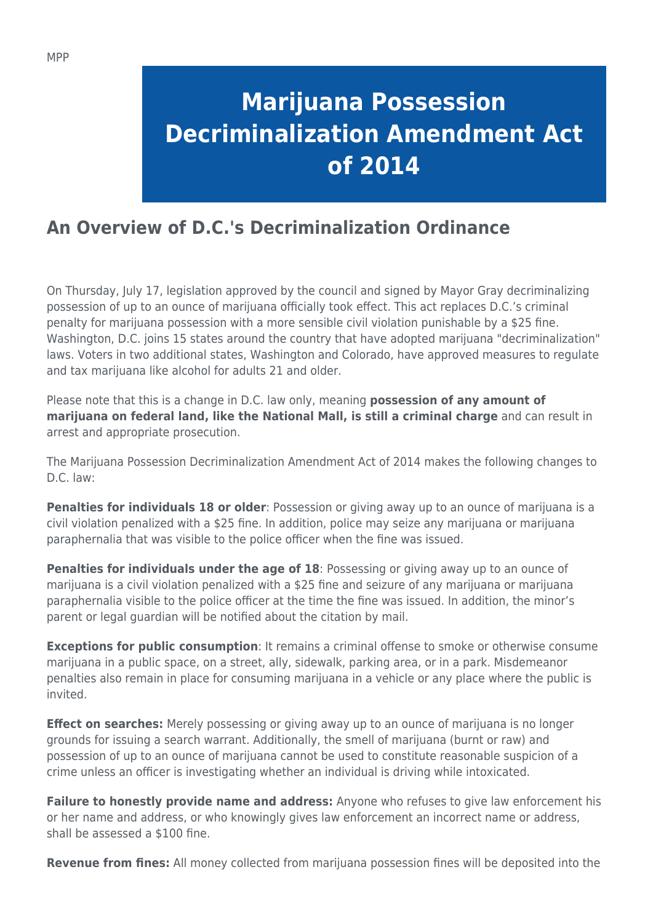## **Marijuana Possession Decriminalization Amendment Act of 2014**

## **An Overview of D.C.'s Decriminalization Ordinance**

On Thursday, July 17, legislation approved by the council and signed by Mayor Gray decriminalizing possession of up to an ounce of marijuana officially took effect. This act replaces D.C.'s criminal penalty for marijuana possession with a more sensible civil violation punishable by a \$25 fine. Washington, D.C. joins 15 states around the country that have adopted marijuana "decriminalization" laws. Voters in two additional states, Washington and Colorado, have approved measures to regulate and tax marijuana like alcohol for adults 21 and older.

Please note that this is a change in D.C. law only, meaning **possession of any amount of marijuana on federal land, like the National Mall, is still a criminal charge** and can result in arrest and appropriate prosecution.

The Marijuana Possession Decriminalization Amendment Act of 2014 makes the following changes to D.C. law:

**Penalties for individuals 18 or older**: Possession or giving away up to an ounce of marijuana is a civil violation penalized with a \$25 fine. In addition, police may seize any marijuana or marijuana paraphernalia that was visible to the police officer when the fine was issued.

**Penalties for individuals under the age of 18**: Possessing or giving away up to an ounce of marijuana is a civil violation penalized with a \$25 fine and seizure of any marijuana or marijuana paraphernalia visible to the police officer at the time the fine was issued. In addition, the minor's parent or legal guardian will be notified about the citation by mail.

**Exceptions for public consumption**: It remains a criminal offense to smoke or otherwise consume marijuana in a public space, on a street, ally, sidewalk, parking area, or in a park. Misdemeanor penalties also remain in place for consuming marijuana in a vehicle or any place where the public is invited.

**Effect on searches:** Merely possessing or giving away up to an ounce of marijuana is no longer grounds for issuing a search warrant. Additionally, the smell of marijuana (burnt or raw) and possession of up to an ounce of marijuana cannot be used to constitute reasonable suspicion of a crime unless an officer is investigating whether an individual is driving while intoxicated.

**Failure to honestly provide name and address:** Anyone who refuses to give law enforcement his or her name and address, or who knowingly gives law enforcement an incorrect name or address, shall be assessed a \$100 fine.

**Revenue from fines:** All money collected from marijuana possession fines will be deposited into the